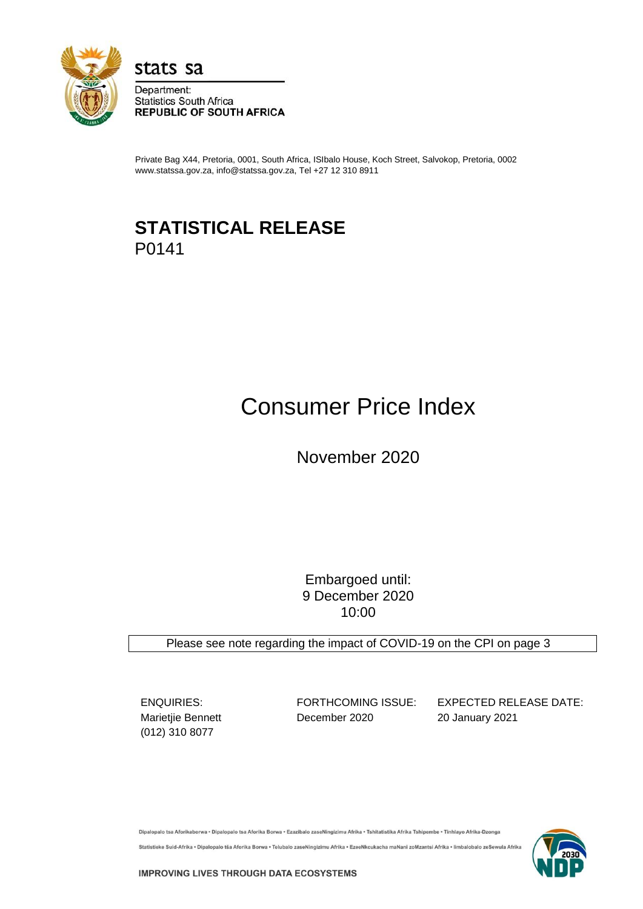

stats sa

Department: **Statistics South Africa REPUBLIC OF SOUTH AFRICA** 

Private Bag X44, Pretoria, 0001, South Africa, ISIbalo House, Koch Street, Salvokop, Pretoria, 0002 www.statssa.gov.za, info@statssa.gov.za, Tel +27 12 310 8911

# **STATISTICAL RELEASE** P0141

# Consumer Price Index

November 2020

Embargoed until: 9 December 2020 10:00

Please see note regarding the impact of COVID-19 on the CPI on page 3

(012) 310 8077

Marietjie Bennett **December 2020** 20 January 2021

ENQUIRIES: FORTHCOMING ISSUE: EXPECTED RELEASE DATE:

Dipalopalo tsa Aforikaborwa • Dipalopalo tsa Aforika Borwa • Ezazibalo zaseNingizimu Afrika • Tshitatistika Afrika Tshipembe • Tinhlayo Afrika-Dzonga Statistieke Suid-Afrika • Dipalopalo tša Aforika Borwa • Telubalo zaseNingizimu Afrika • EzeeNkcukacha maNani zoMzantsi Afrika • limbalobalo zeSewula Afrika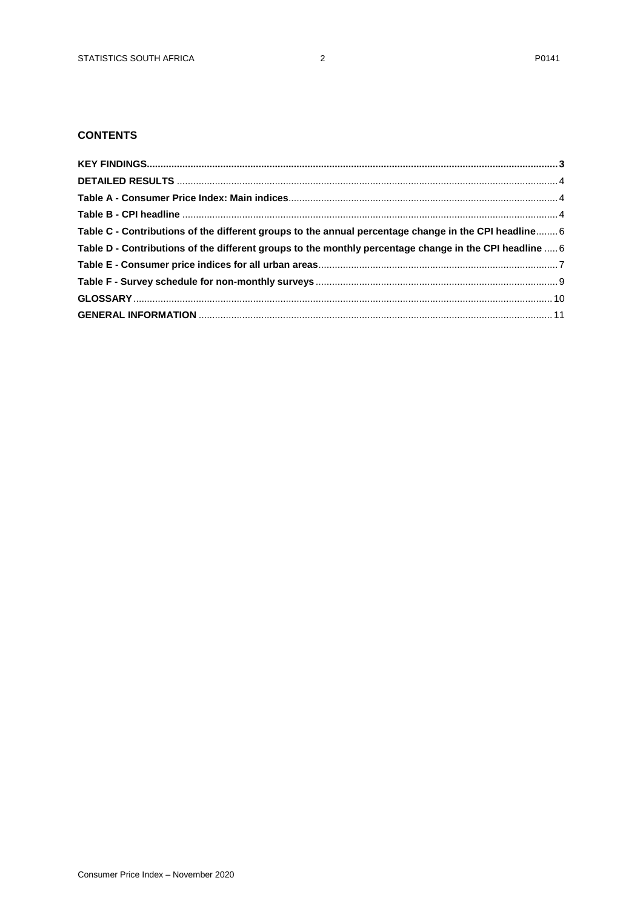# **CONTENTS**

| Table C - Contributions of the different groups to the annual percentage change in the CPI headline 6   |  |
|---------------------------------------------------------------------------------------------------------|--|
| Table D - Contributions of the different groups to the monthly percentage change in the CPI headline  6 |  |
|                                                                                                         |  |
|                                                                                                         |  |
|                                                                                                         |  |
|                                                                                                         |  |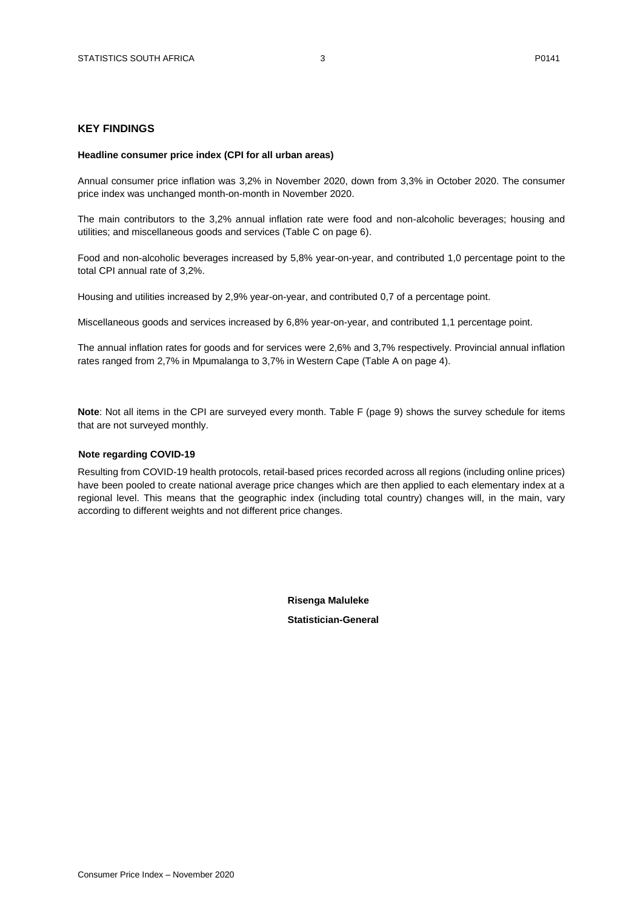#### <span id="page-2-0"></span>**KEY FINDINGS**

#### **Headline consumer price index (CPI for all urban areas)**

Annual consumer price inflation was 3,2% in November 2020, down from 3,3% in October 2020. The consumer price index was unchanged month-on-month in November 2020.

The main contributors to the 3,2% annual inflation rate were food and non-alcoholic beverages; housing and utilities; and miscellaneous goods and services (Table C on page 6).

Food and non-alcoholic beverages increased by 5,8% year-on-year, and contributed 1,0 percentage point to the total CPI annual rate of 3,2%.

Housing and utilities increased by 2,9% year-on-year, and contributed 0,7 of a percentage point.

Miscellaneous goods and services increased by 6,8% year-on-year, and contributed 1,1 percentage point.

The annual inflation rates for goods and for services were 2,6% and 3,7% respectively. Provincial annual inflation rates ranged from 2,7% in Mpumalanga to 3,7% in Western Cape (Table A on page 4).

**Note**: Not all items in the CPI are surveyed every month. Table F (page 9) shows the survey schedule for items that are not surveyed monthly.

#### **Note regarding COVID-19**

Resulting from COVID-19 health protocols, retail-based prices recorded across all regions (including online prices) have been pooled to create national average price changes which are then applied to each elementary index at a regional level. This means that the geographic index (including total country) changes will, in the main, vary according to different weights and not different price changes.

> **Risenga Maluleke Statistician-General**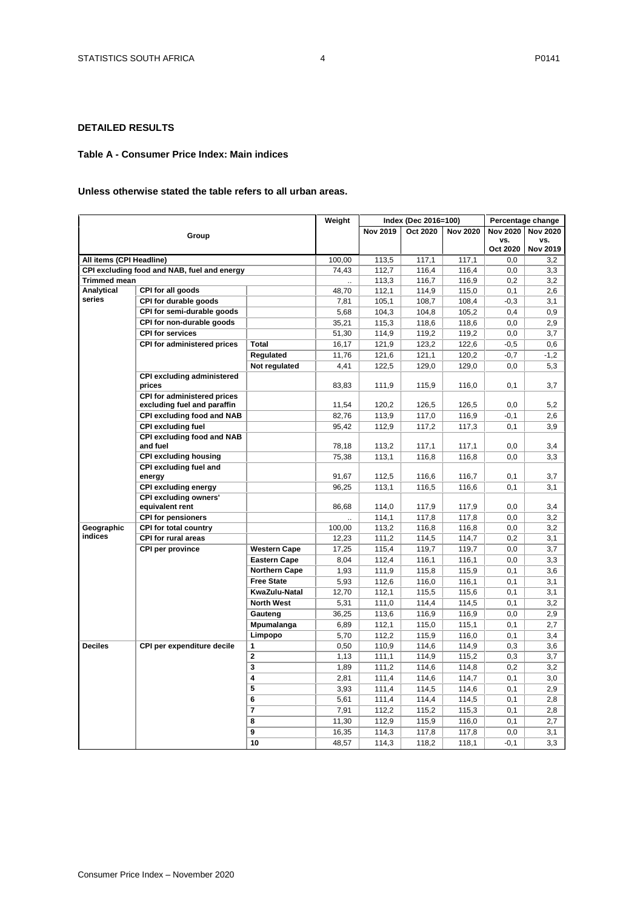## <span id="page-3-0"></span>**DETAILED RESULTS**

#### <span id="page-3-2"></span><span id="page-3-1"></span>**Table A - Consumer Price Index: Main indices**

#### **Unless otherwise stated the table refers to all urban areas.**

|                          |                                                                   |                      | Weight |                 | Index (Dec 2016=100) |                 |                 | Percentage change      |
|--------------------------|-------------------------------------------------------------------|----------------------|--------|-----------------|----------------------|-----------------|-----------------|------------------------|
|                          |                                                                   |                      |        | <b>Nov 2019</b> | Oct 2020             | <b>Nov 2020</b> | <b>Nov 2020</b> | <b>Nov 2020</b>        |
|                          | Group                                                             |                      |        |                 |                      |                 | VS.<br>Oct 2020 | vs.<br><b>Nov 2019</b> |
| All items (CPI Headline) |                                                                   |                      | 100.00 | 113.5           | 117.1                | 117.1           | 0.0             | 3.2                    |
|                          | CPI excluding food and NAB, fuel and energy                       |                      | 74,43  | 112,7           | 116,4                | 116,4           | 0,0             | 3,3                    |
| <b>Trimmed mean</b>      |                                                                   |                      |        | 113,3           | 116,7                | 116,9           | 0,2             | 3,2                    |
| Analytical               | CPI for all goods                                                 |                      | 48,70  | 112,1           | 114,9                | 115,0           | 0,1             | 2,6                    |
| series                   | CPI for durable goods                                             |                      | 7,81   | 105,1           | 108,7                | 108,4           | $-0.3$          | 3,1                    |
|                          | CPI for semi-durable goods                                        |                      | 5,68   | 104,3           | 104,8                | 105,2           | 0.4             | 0,9                    |
|                          | CPI for non-durable goods                                         |                      | 35,21  | 115,3           | 118,6                | 118,6           | 0,0             | 2,9                    |
|                          | <b>CPI for services</b>                                           |                      | 51,30  | 114,9           | 119,2                | 119,2           | 0,0             | 3,7                    |
|                          | CPI for administered prices                                       | <b>Total</b>         | 16,17  | 121,9           | 123,2                | 122,6           | -0,5            | 0,6                    |
|                          |                                                                   | Regulated            | 11,76  | 121,6           | 121,1                | 120,2           | $-0,7$          | $-1,2$                 |
|                          |                                                                   | Not regulated        | 4,41   | 122,5           | 129,0                | 129,0           | 0,0             | 5,3                    |
|                          | <b>CPI excluding administered</b>                                 |                      |        |                 |                      |                 |                 |                        |
|                          | prices                                                            |                      | 83,83  | 111,9           | 115,9                | 116,0           | 0,1             | 3,7                    |
|                          | <b>CPI for administered prices</b><br>excluding fuel and paraffin |                      | 11,54  | 120,2           | 126,5                | 126,5           | 0,0             | 5,2                    |
|                          | CPI excluding food and NAB                                        |                      | 82,76  | 113,9           | 117,0                | 116,9           | $-0,1$          | 2,6                    |
|                          | <b>CPI excluding fuel</b>                                         |                      | 95,42  | 112,9           | 117,2                | 117,3           | 0,1             | 3,9                    |
|                          | <b>CPI excluding food and NAB</b><br>and fuel                     |                      | 78,18  | 113,2           | 117,1                | 117,1           | 0,0             | 3,4                    |
|                          | <b>CPI excluding housing</b>                                      |                      | 75,38  | 113,1           | 116,8                | 116,8           | 0, 0            | 3,3                    |
|                          | CPI excluding fuel and<br>energy                                  |                      | 91,67  | 112,5           | 116,6                | 116,7           | 0,1             | 3,7                    |
|                          | <b>CPI excluding energy</b>                                       |                      | 96,25  | 113,1           | 116,5                | 116,6           | 0,1             | 3,1                    |
|                          | <b>CPI excluding owners'</b>                                      |                      |        |                 |                      |                 |                 |                        |
|                          | equivalent rent                                                   |                      | 86,68  | 114,0           | 117,9                | 117,9           | 0,0             | 3,4                    |
|                          | <b>CPI for pensioners</b>                                         |                      |        | 114,1           | 117,8                | 117,8           | 0,0             | 3,2                    |
| Geographic               | <b>CPI for total country</b>                                      |                      | 100,00 | 113,2           | 116,8                | 116,8           | 0,0             | 3,2                    |
| indices                  | <b>CPI for rural areas</b>                                        |                      | 12,23  | 111,2           | 114,5                | 114,7           | 0,2             | 3,1                    |
|                          | <b>CPI per province</b>                                           | <b>Western Cape</b>  | 17,25  | 115,4           | 119,7                | 119,7           | 0,0             | 3,7                    |
|                          |                                                                   | <b>Eastern Cape</b>  | 8,04   | 112,4           | 116,1                | 116,1           | 0,0             | 3,3                    |
|                          |                                                                   | <b>Northern Cape</b> | 1,93   | 111,9           | 115,8                | 115,9           | 0,1             | 3,6                    |
|                          |                                                                   | <b>Free State</b>    | 5,93   | 112,6           | 116,0                | 116,1           | 0,1             | 3,1                    |
|                          |                                                                   | KwaZulu-Natal        | 12,70  | 112,1           | 115,5                | 115,6           | 0,1             | 3,1                    |
|                          |                                                                   | <b>North West</b>    | 5,31   | 111,0           | 114,4                | 114,5           | 0,1             | 3,2                    |
|                          |                                                                   | Gauteng              | 36,25  | 113,6           | 116,9                | 116,9           | 0,0             | 2,9                    |
|                          |                                                                   | Mpumalanga           | 6,89   | 112,1           | 115,0                | 115,1           | 0,1             | 2,7                    |
|                          |                                                                   | Limpopo              | 5,70   | 112,2           | 115,9                | 116,0           | 0,1             | 3,4                    |
| <b>Deciles</b>           | CPI per expenditure decile                                        | $\mathbf{1}$         | 0,50   | 110,9           | 114,6                | 114,9           | 0,3             | 3,6                    |
|                          |                                                                   | $\mathbf{2}$         | 1,13   | 111,1           | 114,9                | 115,2           | 0,3             | 3,7                    |
|                          |                                                                   | 3                    | 1,89   | 111,2           | 114,6                | 114,8           | 0,2             | 3,2                    |
|                          |                                                                   | 4                    | 2,81   | 111,4           | 114,6                | 114,7           | 0,1             | 3,0                    |
|                          |                                                                   | 5                    | 3,93   | 111,4           | 114,5                | 114,6           | 0,1             | 2,9                    |
|                          |                                                                   | 6                    | 5,61   | 111,4           | 114,4                | 114,5           | 0,1             | 2,8                    |
|                          |                                                                   | $\overline{7}$       | 7,91   | 112,2           | 115,2                | 115,3           | 0,1             | 2,8                    |
|                          |                                                                   | 8                    | 11,30  | 112,9           | 115,9                | 116,0           | 0,1             | 2,7                    |
|                          |                                                                   | 9                    | 16,35  | 114,3           | 117,8                | 117,8           | 0,0             | 3,1                    |
|                          |                                                                   | 10                   | 48,57  | 114,3           | 118,2                | 118,1           | $-0,1$          | 3,3                    |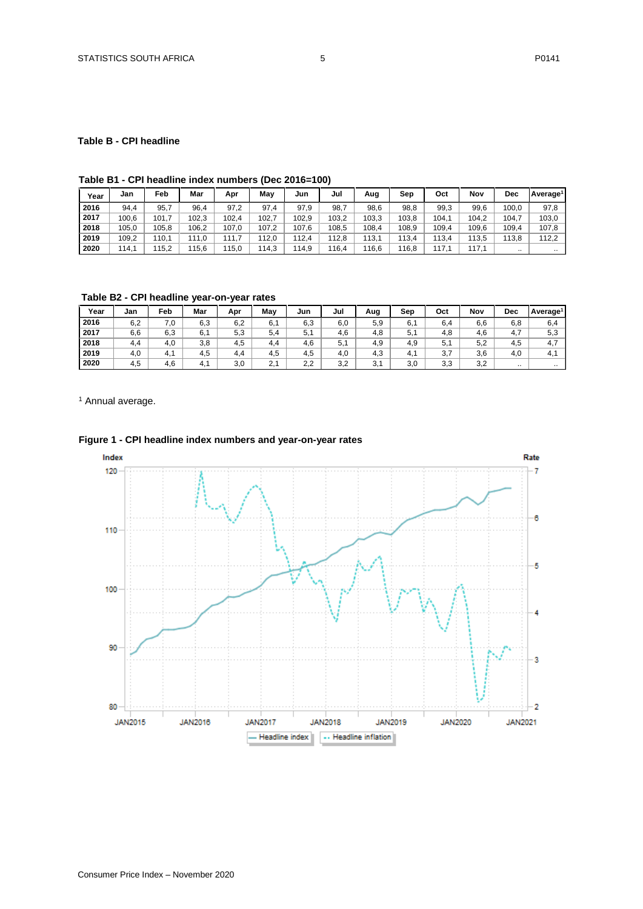#### **Table B - CPI headline**

# **Table B1 - CPI headline index numbers (Dec 2016=100)**

| Year | Jan   | Feb   | Mar   | Apr   | Mav   | Jun   | Jul   | Aug   | Sep   | Oct   | Nov   | Dec   | Average <sup>1</sup> |
|------|-------|-------|-------|-------|-------|-------|-------|-------|-------|-------|-------|-------|----------------------|
| 2016 | 94,4  | 95,7  | 96.4  | 97,2  | 97.4  | 97.9  | 98,7  | 98,6  | 98,8  | 99,3  | 99,6  | 100,0 | 97,8                 |
| 2017 | 100,6 | 101.7 | 102.3 | 102,4 | 102.7 | 102.9 | 103,2 | 103,3 | 103,8 | 104,1 | 104,2 | 104.  | 103,0                |
| 2018 | 105.0 | 105,8 | 106.2 | 107.0 | 107.2 | 107.6 | 108,5 | 108,4 | 108.9 | 109,4 | 109,6 | 109,4 | 107,8                |
| 2019 | 109,2 | 110.1 | 111.0 | 111.7 | 112.0 | 112.4 | 112.8 | 113.1 | 113.4 | 113.4 | 113,5 | 113.8 | 112,2                |
| 2020 | 114.1 | 115,2 | 115.6 | 15,0  | 114.3 | 114.9 | 116.4 | 116.6 | 16.8  | 117.1 | 117.1 |       |                      |

**Table B2 - CPI headline year-on-year rates**

| Year | Jan | Feb | Mar | Apr | May | Jun | Jul | Aug | Sep | Oct | Nov | Dec                  | Average <sup>1</sup> |
|------|-----|-----|-----|-----|-----|-----|-----|-----|-----|-----|-----|----------------------|----------------------|
| 2016 | 6,2 | 7.0 | 6,3 | 6,2 | 6,1 | 6,3 | 6,0 | 5,9 | 6.  | 6,4 | 6,6 | 6,8                  | 6,4                  |
| 2017 | 6,6 | 6,3 | 6.  | 5,3 | 5.4 | 5.1 | 4,6 | 4.8 | 5.1 | 4,8 | 4,6 | 4.7                  | 5,3                  |
| 2018 | 4,4 | 4,0 | 3,8 | 4.5 | 4.4 | 4,6 | 5,1 | 4,9 | 4,9 | 5,1 | 5,2 | 4,5                  | 4.7                  |
| 2019 | 4,0 | 4.1 | 4,5 | 4.4 | 4,5 | 4,5 | 4.0 | 4,3 | 4.1 | 3,7 | 3,6 | 4.0                  | 4.1                  |
| 2020 | 4.5 | 4,6 | 4.1 | 3,0 | 2.1 | 2,2 | 3,2 | 3,1 | 3,0 | 3,3 | 3,2 | $\ddot{\phantom{a}}$ | $\cdots$             |

<sup>1</sup> Annual average.



# **Figure 1 - CPI headline index numbers and year-on-year rates**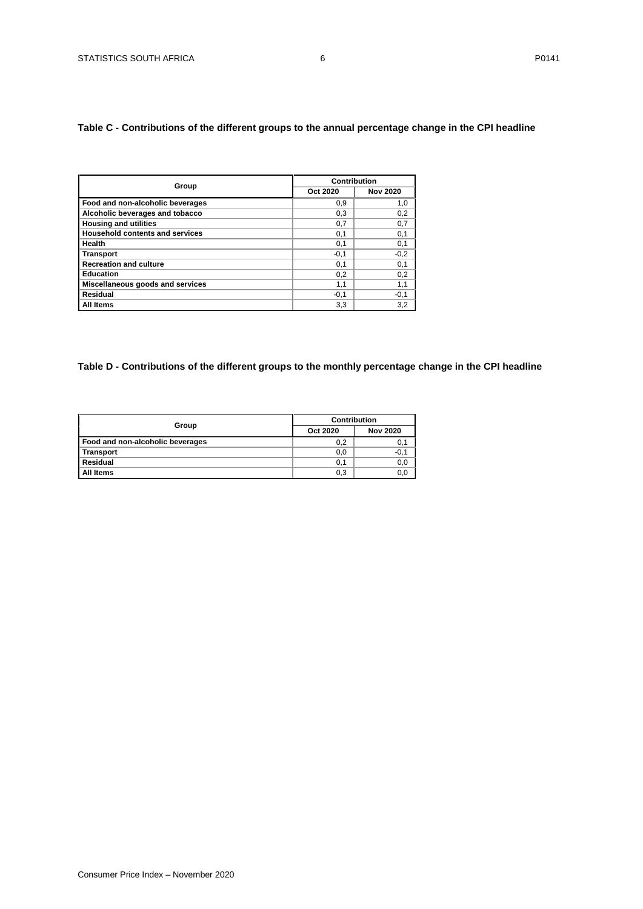# <span id="page-5-1"></span><span id="page-5-0"></span>**Table C - Contributions of the different groups to the annual percentage change in the CPI headline**

|                                        | Contribution |                 |
|----------------------------------------|--------------|-----------------|
| Group                                  | Oct 2020     | <b>Nov 2020</b> |
| Food and non-alcoholic beverages       | 0,9          | 1,0             |
| Alcoholic beverages and tobacco        | 0.3          | 0,2             |
| <b>Housing and utilities</b>           | 0,7          | 0,7             |
| <b>Household contents and services</b> | 0,1          | 0,1             |
| Health                                 | 0,1          | 0,1             |
| <b>Transport</b>                       | $-0,1$       | $-0,2$          |
| <b>Recreation and culture</b>          | 0,1          | 0,1             |
| <b>Education</b>                       | 0,2          | 0,2             |
| Miscellaneous goods and services       | 1,1          | 1,1             |
| Residual                               | $-0.1$       | $-0,1$          |
| All Items                              | 3,3          | 3,2             |

# **Table D - Contributions of the different groups to the monthly percentage change in the CPI headline**

|                                  | <b>Contribution</b> |                 |  |  |  |
|----------------------------------|---------------------|-----------------|--|--|--|
| Group                            | Oct 2020            | <b>Nov 2020</b> |  |  |  |
| Food and non-alcoholic beverages | 0,2                 | 0,1             |  |  |  |
| <b>Transport</b>                 | 0,0                 | $-0,1$          |  |  |  |
| Residual                         | 0,1                 | 0,0             |  |  |  |
| All Items                        | 0,3                 | 0,0             |  |  |  |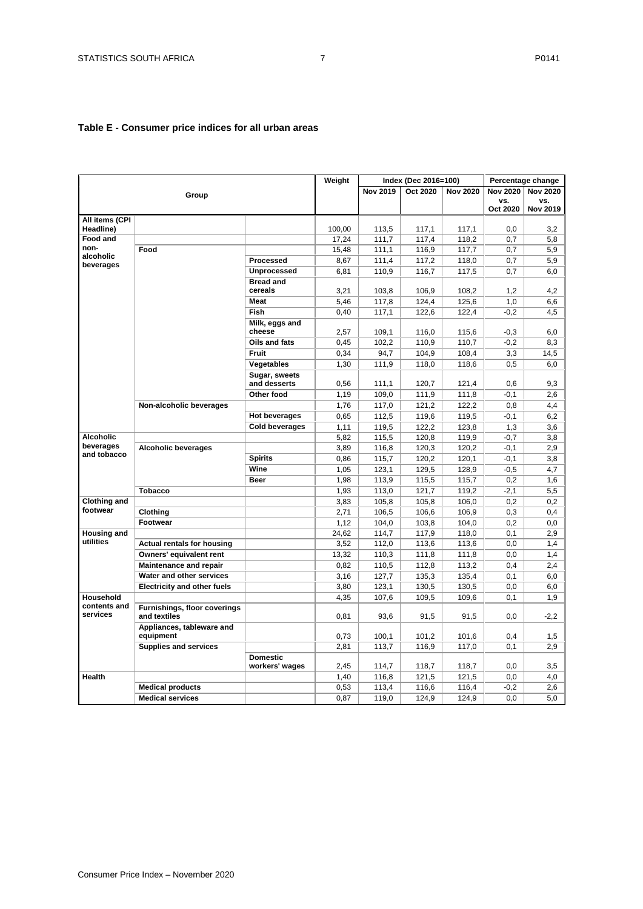# <span id="page-6-0"></span>**Table E - Consumer price indices for all urban areas**

|                             |                                              |                               | Weight          |                 | Index (Dec 2016=100) |                 |                 | Percentage change |
|-----------------------------|----------------------------------------------|-------------------------------|-----------------|-----------------|----------------------|-----------------|-----------------|-------------------|
|                             |                                              |                               |                 | <b>Nov 2019</b> | Oct 2020             | <b>Nov 2020</b> | <b>Nov 2020</b> | <b>Nov 2020</b>   |
|                             | Group                                        |                               |                 |                 |                      |                 | VS.             | vs.               |
|                             |                                              |                               |                 |                 |                      |                 | Oct 2020        | <b>Nov 2019</b>   |
| All items (CPI<br>Headline) |                                              |                               |                 |                 |                      |                 |                 |                   |
| <b>Food and</b>             |                                              |                               | 100,00<br>17,24 | 113,5<br>111.7  | 117,1<br>117,4       | 117,1<br>118.2  | 0,0<br>0.7      | 3.2<br>5.8        |
| non-                        | Food                                         |                               | 15,48           | 111,1           | 116,9                | 117,7           | 0,7             | 5,9               |
| alcoholic                   |                                              | <b>Processed</b>              | 8,67            | 111,4           | 117,2                | 118,0           | 0,7             | 5,9               |
| beverages                   |                                              | Unprocessed                   | 6,81            | 110,9           | 116,7                | 117,5           | 0,7             | 6,0               |
|                             |                                              | <b>Bread and</b>              |                 |                 |                      |                 |                 |                   |
|                             |                                              | cereals                       | 3,21            | 103,8           | 106,9                | 108,2           | 1,2             | 4.2               |
|                             |                                              | <b>Meat</b>                   | 5,46            | 117,8           | 124,4                | 125,6           | 1,0             | 6,6               |
|                             |                                              | Fish                          | 0,40            | 117,1           | 122,6                | 122,4           | $-0,2$          | 4,5               |
|                             |                                              | Milk, eggs and                |                 |                 |                      |                 |                 |                   |
|                             |                                              | cheese                        | 2,57            | 109,1           | 116,0                | 115,6           | $-0.3$          | 6,0               |
|                             |                                              | Oils and fats                 | 0,45            | 102,2           | 110,9                | 110,7           | $-0,2$          | 8,3               |
|                             |                                              | Fruit                         | 0,34            | 94,7            | 104,9                | 108,4           | 3,3             | 14,5              |
|                             |                                              | Vegetables                    | 1,30            | 111,9           | 118,0                | 118,6           | 0,5             | 6,0               |
|                             |                                              | Sugar, sweets<br>and desserts | 0,56            | 111,1           | 120,7                | 121,4           | 0,6             | 9,3               |
|                             |                                              | Other food                    | 1,19            | 109,0           | 111,9                | 111,8           | $-0,1$          | 2,6               |
|                             | Non-alcoholic beverages                      |                               | 1,76            | 117,0           | 121,2                | 122,2           | 0,8             | 4,4               |
|                             |                                              | <b>Hot beverages</b>          | 0,65            | 112,5           | 119,6                | 119,5           | $-0,1$          | 6,2               |
|                             |                                              | <b>Cold beverages</b>         | 1,11            | 119,5           | 122,2                | 123,8           | 1,3             | 3,6               |
| <b>Alcoholic</b>            |                                              |                               | 5,82            | 115,5           | 120,8                | 119,9           | $-0,7$          | 3,8               |
| beverages                   | <b>Alcoholic beverages</b>                   |                               | 3,89            | 116,8           | 120,3                | 120,2           | $-0,1$          | 2.9               |
| and tobacco                 |                                              | <b>Spirits</b>                | 0,86            | 115,7           | 120,2                | 120,1           | $-0,1$          | 3,8               |
|                             |                                              | Wine                          | 1,05            | 123,1           | 129,5                | 128,9           | $-0,5$          | 4.7               |
|                             |                                              | <b>Beer</b>                   | 1,98            | 113,9           | 115,5                | 115,7           | 0,2             | 1,6               |
|                             | Tobacco                                      |                               | 1,93            | 113,0           | 121,7                | 119,2           | $-2,1$          | 5,5               |
| <b>Clothing and</b>         |                                              |                               | 3,83            | 105,8           | 105,8                | 106,0           | 0,2             | 0,2               |
| footwear                    | Clothing                                     |                               | 2,71            | 106,5           | 106,6                | 106,9           | 0,3             | 0.4               |
|                             | Footwear                                     |                               | 1,12            | 104,0           | 103,8                | 104,0           | 0,2             | 0,0               |
| Housing and                 |                                              |                               | 24.62           | 114.7           | 117,9                | 118,0           | 0,1             | 2.9               |
| utilities                   | <b>Actual rentals for housing</b>            |                               | 3,52            | 112,0           | 113,6                | 113,6           | 0,0             | 1,4               |
|                             | Owners' equivalent rent                      |                               | 13,32           | 110,3           | 111,8                | 111,8           | 0.0             | 1.4               |
|                             | Maintenance and repair                       |                               | 0,82            | 110,5           | 112,8                | 113,2           | 0,4             | 2.4               |
|                             | Water and other services                     |                               | 3.16            | 127,7           | 135,3                | 135.4           | 0,1             | 6.0               |
|                             | <b>Electricity and other fuels</b>           |                               | 3,80            | 123,1           | 130,5                | 130,5           | 0,0             | 6,0               |
| Household                   |                                              |                               | 4,35            | 107,6           | 109,5                | 109,6           | 0,1             | 1,9               |
| contents and<br>services    | Furnishings, floor coverings<br>and textiles |                               | 0,81            | 93,6            | 91,5                 | 91,5            | 0,0             | $-2,2$            |
|                             | Appliances, tableware and<br>equipment       |                               | 0,73            | 100,1           | 101,2                | 101,6           | 0,4             | 1,5               |
|                             | <b>Supplies and services</b>                 |                               | 2,81            | 113,7           | 116,9                | 117,0           | 0,1             | 2,9               |
|                             |                                              | <b>Domestic</b>               |                 |                 |                      |                 |                 |                   |
|                             |                                              | workers' wages                | 2,45            | 114,7           | 118,7                | 118,7           | 0,0             | 3,5               |
| Health                      |                                              |                               | 1,40            | 116,8           | 121,5                | 121,5           | 0,0             | 4,0               |
|                             | <b>Medical products</b>                      |                               | 0,53            | 113,4           | 116,6                | 116,4           | $-0,2$          | 2,6               |
|                             | <b>Medical services</b>                      |                               | 0,87            | 119,0           | 124,9                | 124,9           | 0,0             | 5,0               |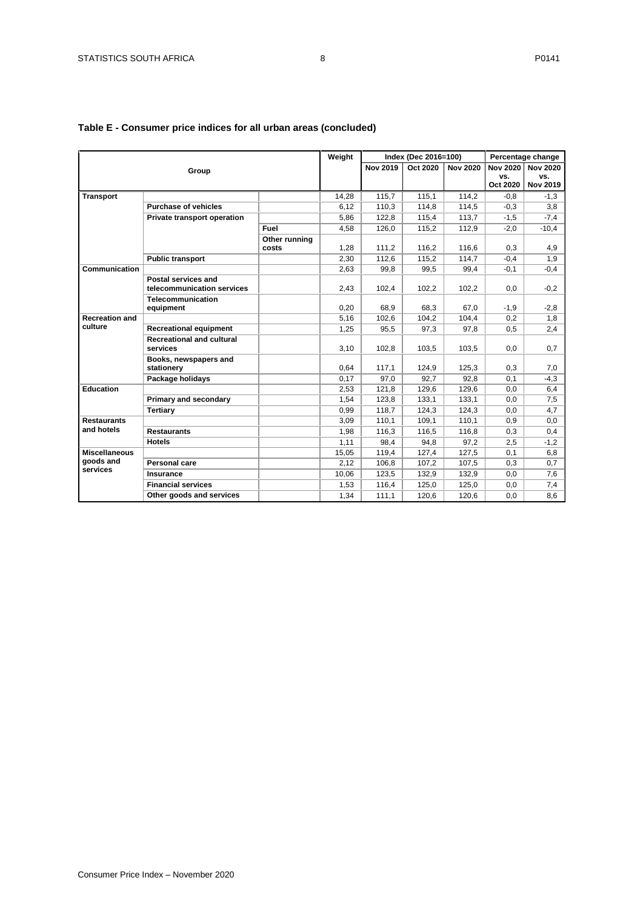|                                               |                                                   |                        | Weight |                 | Index (Dec 2016=100) |                 |                                    | Percentage change                         |
|-----------------------------------------------|---------------------------------------------------|------------------------|--------|-----------------|----------------------|-----------------|------------------------------------|-------------------------------------------|
| Group                                         |                                                   |                        |        | <b>Nov 2019</b> | Oct 2020             | <b>Nov 2020</b> | <b>Nov 2020</b><br>VS.<br>Oct 2020 | <b>Nov 2020</b><br>VS.<br><b>Nov 2019</b> |
| <b>Transport</b>                              |                                                   |                        | 14.28  | 115.7           | 115.1                | 114.2           | $-0.8$                             | $-1,3$                                    |
|                                               | <b>Purchase of vehicles</b>                       |                        | 6,12   | 110,3           | 114,8                | 114,5           | $-0,3$                             | 3,8                                       |
|                                               | Private transport operation                       |                        | 5,86   | 122,8           | 115,4                | 113,7           | $-1,5$                             | $-7,4$                                    |
|                                               |                                                   | Fuel                   | 4,58   | 126.0           | 115.2                | 112.9           | $-2.0$                             | $-10.4$                                   |
|                                               |                                                   | Other running<br>costs | 1.28   | 111.2           | 116.2                | 116.6           | 0.3                                | 4,9                                       |
|                                               | <b>Public transport</b>                           |                        | 2.30   | 112.6           | 115.2                | 114.7           | $-0.4$                             | 1,9                                       |
| Communication                                 |                                                   |                        | 2,63   | 99,8            | 99,5                 | 99,4            | $-0,1$                             | $-0,4$                                    |
|                                               | Postal services and<br>telecommunication services |                        | 2.43   | 102.4           | 102.2                | 102.2           | 0.0                                | $-0,2$                                    |
|                                               | <b>Telecommunication</b><br>equipment             |                        | 0.20   | 68,9            | 68.3                 | 67.0            | $-1,9$                             | $-2,8$                                    |
| <b>Recreation and</b>                         |                                                   |                        | 5.16   | 102,6           | 104,2                | 104,4           | 0,2                                | 1,8                                       |
| culture                                       | <b>Recreational equipment</b>                     |                        | 1,25   | 95,5            | 97,3                 | 97.8            | 0,5                                | 2,4                                       |
|                                               | <b>Recreational and cultural</b><br>services      |                        | 3,10   | 102,8           | 103,5                | 103,5           | 0.0                                | 0.7                                       |
|                                               | Books, newspapers and<br>stationery               |                        | 0.64   | 117,1           | 124,9                | 125.3           | 0,3                                | 7,0                                       |
|                                               | Package holidays                                  |                        | 0,17   | 97,0            | 92,7                 | 92.8            | 0,1                                | $-4,3$                                    |
| Education                                     |                                                   |                        | 2,53   | 121,8           | 129.6                | 129,6           | 0,0                                | 6,4                                       |
|                                               | Primary and secondary                             |                        | 1.54   | 123.8           | 133.1                | 133,1           | 0.0                                | 7,5                                       |
|                                               | <b>Tertiary</b>                                   |                        | 0.99   | 118.7           | 124.3                | 124.3           | 0.0                                | 4.7                                       |
| <b>Restaurants</b>                            |                                                   |                        | 3,09   | 110.1           | 109,1                | 110,1           | 0,9                                | 0,0                                       |
| and hotels                                    | <b>Restaurants</b>                                |                        | 1.98   | 116.3           | 116.5                | 116.8           | 0.3                                | 0.4                                       |
|                                               | <b>Hotels</b>                                     |                        | 1,11   | 98,4            | 94,8                 | 97,2            | 2,5                                | $-1,2$                                    |
| <b>Miscellaneous</b><br>goods and<br>services |                                                   |                        | 15,05  | 119,4           | 127,4                | 127,5           | 0,1                                | 6,8                                       |
|                                               | Personal care                                     |                        | 2.12   | 106,8           | 107,2                | 107,5           | 0,3                                | 0,7                                       |
|                                               | Insurance                                         |                        | 10,06  | 123,5           | 132,9                | 132,9           | 0,0                                | 7,6                                       |
|                                               | <b>Financial services</b>                         |                        | 1,53   | 116,4           | 125,0                | 125,0           | 0,0                                | 7,4                                       |
|                                               | Other goods and services                          |                        | 1.34   | 111.1           | 120.6                | 120.6           | 0.0                                | 8,6                                       |

# **Table E - Consumer price indices for all urban areas (concluded)**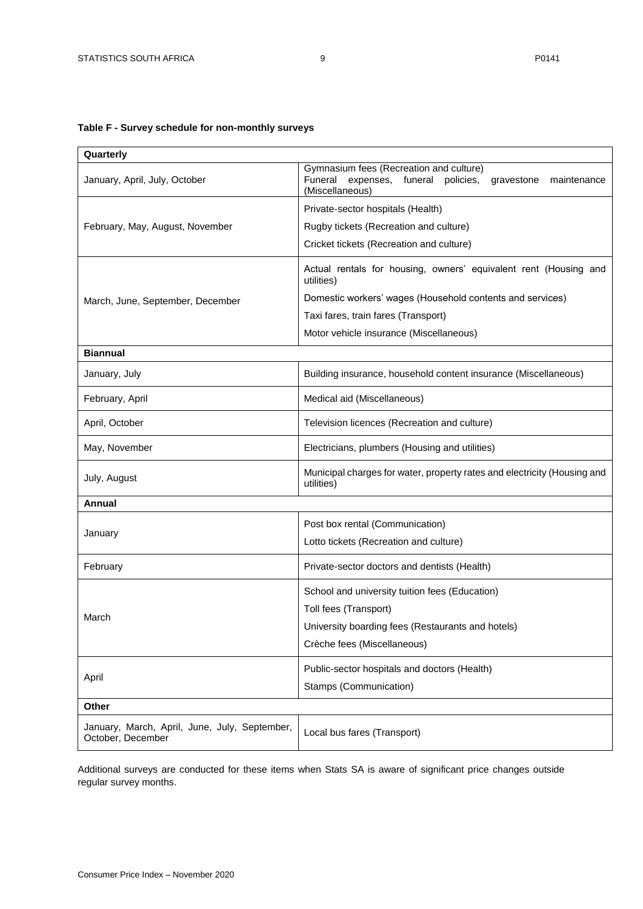# <span id="page-8-0"></span>**Table F - Survey schedule for non-monthly surveys**

| Quarterly                                                          |                                                                                                                                      |  |  |  |  |  |
|--------------------------------------------------------------------|--------------------------------------------------------------------------------------------------------------------------------------|--|--|--|--|--|
| January, April, July, October                                      | Gymnasium fees (Recreation and culture)<br>Funeral<br>expenses, funeral<br>policies,<br>gravestone<br>maintenance<br>(Miscellaneous) |  |  |  |  |  |
|                                                                    | Private-sector hospitals (Health)                                                                                                    |  |  |  |  |  |
| February, May, August, November                                    | Rugby tickets (Recreation and culture)                                                                                               |  |  |  |  |  |
|                                                                    | Cricket tickets (Recreation and culture)                                                                                             |  |  |  |  |  |
|                                                                    | Actual rentals for housing, owners' equivalent rent (Housing and<br>utilities)                                                       |  |  |  |  |  |
| March, June, September, December                                   | Domestic workers' wages (Household contents and services)                                                                            |  |  |  |  |  |
|                                                                    | Taxi fares, train fares (Transport)                                                                                                  |  |  |  |  |  |
|                                                                    | Motor vehicle insurance (Miscellaneous)                                                                                              |  |  |  |  |  |
| <b>Biannual</b>                                                    |                                                                                                                                      |  |  |  |  |  |
| January, July                                                      | Building insurance, household content insurance (Miscellaneous)                                                                      |  |  |  |  |  |
| February, April                                                    | Medical aid (Miscellaneous)                                                                                                          |  |  |  |  |  |
| April, October                                                     | Television licences (Recreation and culture)                                                                                         |  |  |  |  |  |
| May, November                                                      | Electricians, plumbers (Housing and utilities)                                                                                       |  |  |  |  |  |
| July, August                                                       | Municipal charges for water, property rates and electricity (Housing and<br>utilities)                                               |  |  |  |  |  |
| Annual                                                             |                                                                                                                                      |  |  |  |  |  |
|                                                                    | Post box rental (Communication)                                                                                                      |  |  |  |  |  |
| January                                                            | Lotto tickets (Recreation and culture)                                                                                               |  |  |  |  |  |
| February                                                           | Private-sector doctors and dentists (Health)                                                                                         |  |  |  |  |  |
|                                                                    | School and university tuition fees (Education)                                                                                       |  |  |  |  |  |
| March                                                              | Toll fees (Transport)                                                                                                                |  |  |  |  |  |
|                                                                    | University boarding fees (Restaurants and hotels)                                                                                    |  |  |  |  |  |
|                                                                    | Crèche fees (Miscellaneous)                                                                                                          |  |  |  |  |  |
|                                                                    | Public-sector hospitals and doctors (Health)                                                                                         |  |  |  |  |  |
| April                                                              | Stamps (Communication)                                                                                                               |  |  |  |  |  |
| Other                                                              |                                                                                                                                      |  |  |  |  |  |
| January, March, April, June, July, September,<br>October, December | Local bus fares (Transport)                                                                                                          |  |  |  |  |  |

Additional surveys are conducted for these items when Stats SA is aware of significant price changes outside regular survey months.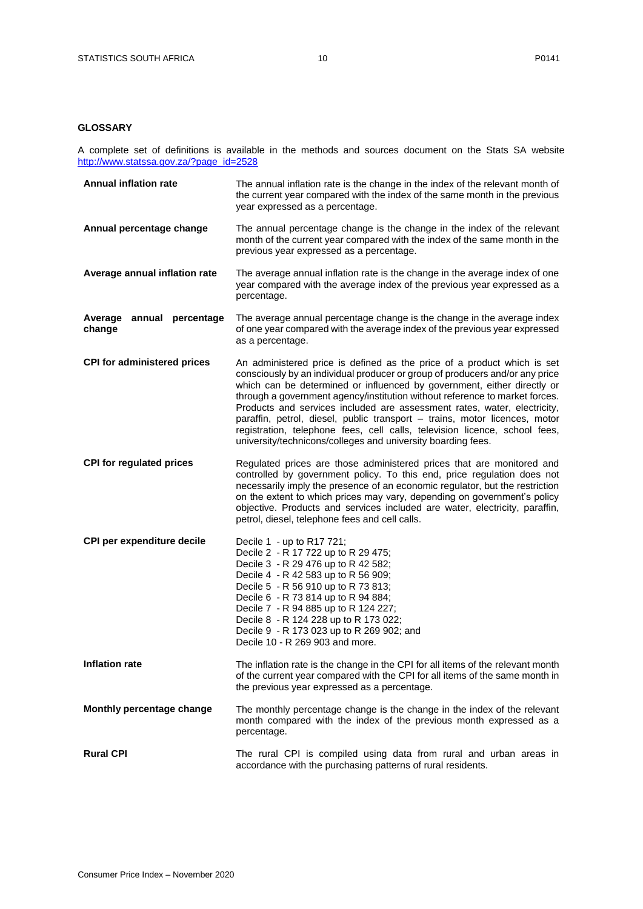### <span id="page-9-0"></span>**GLOSSARY**

A complete set of definitions is available in the methods and sources document on the Stats SA website [http://www.statssa.gov.za/?page\\_id=2528](http://www.statssa.gov.za/?page_id=2528)

| <b>Annual inflation rate</b>        | The annual inflation rate is the change in the index of the relevant month of<br>the current year compared with the index of the same month in the previous<br>year expressed as a percentage.                                                                                                                                                                                                                                                                                                                                                                                                                            |
|-------------------------------------|---------------------------------------------------------------------------------------------------------------------------------------------------------------------------------------------------------------------------------------------------------------------------------------------------------------------------------------------------------------------------------------------------------------------------------------------------------------------------------------------------------------------------------------------------------------------------------------------------------------------------|
| Annual percentage change            | The annual percentage change is the change in the index of the relevant<br>month of the current year compared with the index of the same month in the<br>previous year expressed as a percentage.                                                                                                                                                                                                                                                                                                                                                                                                                         |
| Average annual inflation rate       | The average annual inflation rate is the change in the average index of one<br>year compared with the average index of the previous year expressed as a<br>percentage.                                                                                                                                                                                                                                                                                                                                                                                                                                                    |
| Average annual percentage<br>change | The average annual percentage change is the change in the average index<br>of one year compared with the average index of the previous year expressed<br>as a percentage.                                                                                                                                                                                                                                                                                                                                                                                                                                                 |
| <b>CPI for administered prices</b>  | An administered price is defined as the price of a product which is set<br>consciously by an individual producer or group of producers and/or any price<br>which can be determined or influenced by government, either directly or<br>through a government agency/institution without reference to market forces.<br>Products and services included are assessment rates, water, electricity,<br>paraffin, petrol, diesel, public transport - trains, motor licences, motor<br>registration, telephone fees, cell calls, television licence, school fees,<br>university/technicons/colleges and university boarding fees. |
| <b>CPI for regulated prices</b>     | Regulated prices are those administered prices that are monitored and<br>controlled by government policy. To this end, price regulation does not<br>necessarily imply the presence of an economic regulator, but the restriction<br>on the extent to which prices may vary, depending on government's policy<br>objective. Products and services included are water, electricity, paraffin,<br>petrol, diesel, telephone fees and cell calls.                                                                                                                                                                             |
| CPI per expenditure decile          | Decile 1 - up to R17 721;<br>Decile 2 - R 17 722 up to R 29 475;<br>Decile 3 - R 29 476 up to R 42 582;<br>Decile 4 - R 42 583 up to R 56 909;<br>Decile 5 - R 56 910 up to R 73 813;<br>Decile 6 - R 73 814 up to R 94 884;<br>Decile 7 - R 94 885 up to R 124 227;<br>Decile 8 - R 124 228 up to R 173 022;<br>Decile 9 - R 173 023 up to R 269 902; and<br>Decile 10 - R 269 903 and more.                                                                                                                                                                                                                             |
| <b>Inflation rate</b>               | The inflation rate is the change in the CPI for all items of the relevant month<br>of the current year compared with the CPI for all items of the same month in<br>the previous year expressed as a percentage.                                                                                                                                                                                                                                                                                                                                                                                                           |
| Monthly percentage change           | The monthly percentage change is the change in the index of the relevant<br>month compared with the index of the previous month expressed as a<br>percentage.                                                                                                                                                                                                                                                                                                                                                                                                                                                             |
| <b>Rural CPI</b>                    | The rural CPI is compiled using data from rural and urban areas in<br>accordance with the purchasing patterns of rural residents.                                                                                                                                                                                                                                                                                                                                                                                                                                                                                         |